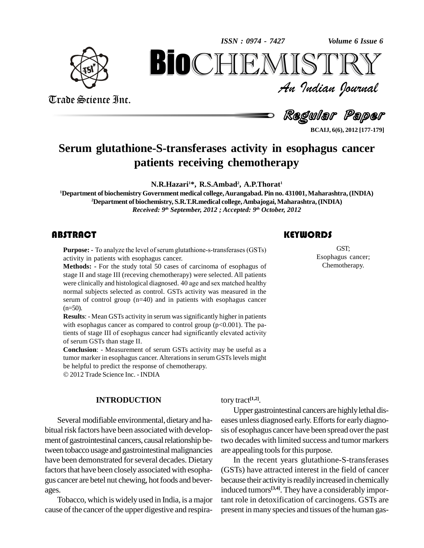

*Volume 6 Issue 6*



*Volume 6 Issue 6*<br> $\sum \mathbb{R} \mathbb{Y}$ <br>*Indian Ocurnal* **BioCHEMISTRY**<br>An Indian Iournal<br>Regular Paper<br>E-S-transferases activity in esophagus cancer<br>tients receiving chemotherapy

Trade Science Inc. Trade Science Inc.

An Indian Journal<br>Regular Paper

**BCAIJ, 6(6), 2012 [177-179]**

### **Serum glutathione-S-transferases activity in esophagus cancer patients receiving chemotherapy**

**N.R.Hazari <sup>1</sup>\*, R.S.Ambad 2 , A.P.Thorat 1**

**<sup>1</sup>Department of biochemistry Government medical college,Aurangabad. Pin no. 431001,Maharashtra,(INDIA) <sup>2</sup>Department of biochemistry, S.R.T.R.medical college,Ambajogai,Maharashtra,(INDIA)** *Received: 9 th September, 2012 ; Accepted: 9 th October, 2012*

**Purpose:** - To analyze the activity in patients with  $\alpha$ <br>**Methods:** - For the stud **STRACT**<br>Purpose: - To analyze the level of serum glutathione-s-transferases (GSTs) activity in patients with esophagus cancer.

**Methods: -** For the study total 50 cases of carcinoma of esophagus of stage II and stage III (receving chemotherapy) were selected. All patients were clinically and histological diagnosed. 40 age and sex matched healthy stage II and stage III (receving chemotherapy) were selected. All patients normal subjects selected as control. GSTs activity was measured in the serum of control group (n=40) and in patients with esophagus cancer  $(n=50)$ .

**Results**: - Mean GSTs activity in serum was significantly higher in patients<br>with esophagus cancer as compared to control group (p<0.001). The pa-<br>tients of stage III of esophagus cancer had significantly elevated activit with esophagus cancer as compared to control group  $(p<0.001)$ . The paof serum GSTs than stage II.

**Conclusion**: - Measurement of serum GSTs activity may be useful as a tumor marker in esophagus cancer. Alterations in serum GSTslevels might be helpful to predict the response of chemotherapy. 2012 Trade Science Inc. - INDIA

**INTRODUCTION**

Several modifiable environmental, dietary and habitual risk factors have been associated with development of gastrointestinal cancers, causal relationship between tobacco usage and gastrointestinal malignancies have been demonstrated for several decades. Dietary factors that have been closely associated with esophagus cancer are betel nut chewing, hot foods and beverages.<br>Tobacco, which is widely used in India, is a major

cause of the cancer of the upper digestive and respira-

tory tract **[1,2]**.

Upper gastrointestinal cancers are highly lethal diseases unless diagnosed early. Efforts for early diagnosis of esophagus cancer have been spread overthe past two decades with limited success and tumor markers are appealing tools for this purpose.

In the recent years glutathione-S-transferases (GSTs) have attracted interest in the field of cancer because their activity is readily increased in chemically induced tumors **[3,4]**. They have a considerably important role in detoxification of carcinogens. GSTs are present in many species and tissues of the human gas-

### **KEYWORDS**

GST;<br>Esophagus cand<br>Chemotherapy GST; Esophagus cancer; Chemotherapy.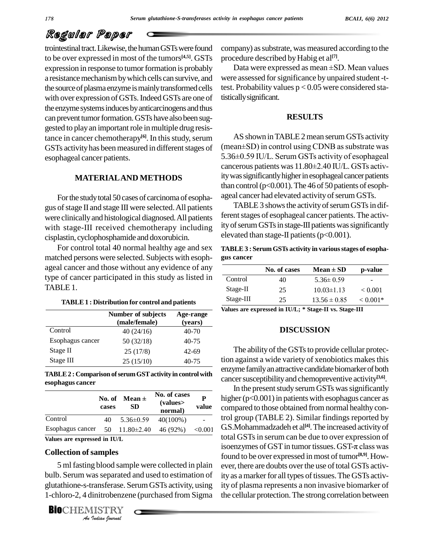# Regular Paper

trointestinal tract. Likewise, the human GSTs were found to be over expressed in most of the tumors **[4,5]**. GSTs expression in response to tumor formation is probably a resistance mechanism by which cells can survive, and the source of plasma enzyme is mainly transformed cells with over expression of GSTs. Indeed GSTs are one of the enzyme systems induces by anticarcinogens and thus can prevent tumor formation. GSTs have also been suggested to play an important role in multiple drug resistance in cancer chemotherapy<sup>[6]</sup>. In this study, serum AS show GSTs activity has been measured in different stages of esophageal cancer patients.

#### **MATERIALAND METHODS**

Forthe studytotal 50 cases of carcinoma of esopha gus of stage II and stage III were selected. All patients were clinicallyand histological diagnosed.All patients with stage-III received chemotherapy including cisplastin, cyclophosphamide and doxorubicin.

For control total 40 normal healthy age and sex matched persons were selected. Subjects with esoph ageal cancer and those without any evidence of any type of cancer participated in this study as listed in TABLE 1.

| <b>TABLE 1 : Distribution for control and patients</b> |  |
|--------------------------------------------------------|--|
|--------------------------------------------------------|--|

|                  | <b>Number of subjects</b><br>(male/female) | Age-range<br>(years) |
|------------------|--------------------------------------------|----------------------|
| Control          | 40(24/16)                                  | 40-70                |
| Esophagus cancer | 50(32/18)                                  | $40 - 75$            |
| Stage II         | 25(17/8)                                   | $42 - 69$            |
| Stage III        | 25(15/10)                                  | $40 - 75$            |

**TABLE2 :Comparison ofserumGSTactivity in controlwith esophagus cancer**

| esophagus cancer |                 |                         |                                    |            | cance.<br>In                             |
|------------------|-----------------|-------------------------|------------------------------------|------------|------------------------------------------|
|                  | No. of<br>cases | Mean $\pm$<br><b>SD</b> | No. of cases<br>(values<br>normal) | P<br>value | highe<br>comp                            |
| Control          | 40              | $5.36 \pm 0.59$         | $40(100\%)$                        |            | trol gi                                  |
| Esophagus cancer | 50              | $11.80 \pm 2.40$        | 46 (92%)                           | < 0.001    | G.S.N<br>$\cdot$ $\cdot$ $\cdot$ $\cdot$ |

**Values are expressed in IU/L**

#### **Collection ofsamples**

5 ml fasting blood sample were collected in plain ever, th g blood samp<br>*i*as separated<br>*Initrobenzen*<br>IISTRY<br>*Indian hournal* bulb. Serum was separated and used to estimation of ity a glutathione-s-transferase. SerumGSTs activity, using 1-chloro-2, 4 dinitrobenzene (purchased from Sigma

**BIO**CHEMISTRY<br>An Indian Journal

company) as substrate, was measured according to the procedure described by Habig et al<sup>[7]</sup>.

Data were expressed as mean ±SD. Mean values were assessed for significance by unpaired student -ttest. Probability values  $p < 0.05$  were considered statisticallysignificant.

#### **RESULTS**

AS shown in TABLE 2 mean serum GSTs activity  $(mean \pm SD)$  in control using CDNB as substrate was AS shown in TABLE 2 mean serum GSTs activity<br>(mean±SD) in control using CDNB as substrate was<br>5.36±0.59 IU/L. Serum GSTs activity of esophageal (mean±SD) in control using CDNB as substrate was<br>5.36±0.59 IU/L. Serum GSTs activity of esophageal<br>cancerous patients was 11.80±2.40 IU/L. GSTs activity was significantly higher in esophageal cancer patients than control ( $p<0.001$ ). The 46 of 50 patients of esophageal cancer had elevated activity of serum GSTs.

TABLE 3 shows the activity of serum GSTs in different stages of esophageal cancer patients. The activity of serum GSTs in stage-III patients was significantly elevated than stage-II patients ( $p<0.001$ ).

**TABLE3 : Serum GSTs activity in variousstages of esopha- No. of cases Mean <sup>±</sup> SD p-value gus cancer**

|           | No. of cases | $Mean \pm SD$    | p-value        |
|-----------|--------------|------------------|----------------|
| Control   | 40           | $5.36 \pm 0.59$  | -              |
| Stage-II  | 25           | $10.03 \pm 1.13$ | ${}_{< 0.001}$ |
| Stage-III | 25           | $13.56 \pm 0.85$ | $< 0.001*$     |

**Values are expressed in IU/L; \* Stage-II vs. Stage-III**

#### **DISCUSSION**

The ability of the GSTs to provide cellular protection against a wide variety of xenobiotics makesthis enzyme family an attractive candidate biomarker of both cancer susceptibility and chemopreventive activity<sup>[3,6]</sup>.

**P** higher (p<0.001) in patients with esophagus cancer as **value** compared to those obtained from normal healthy con-In the present study serum GSTs was significantly trol group (TABLE 2). Similar findings reported by G.S. Mohammadzadeh et al<sup>[4]</sup>. The increased activity of total GSTs in serum can be due to over expression of isoenzymes of GST in tumor tissues. GST- $\pi$  class was total GSTsin serum can be due to over expression of found to be over expressed in most of tumor<sup>[8,9]</sup>. However, there are doubts over the use of total GSTs activity as a marker for all types of tissues. The GSTs activity of plasma represents a non invasive biomarker of the cellular protection.The strong correlation between